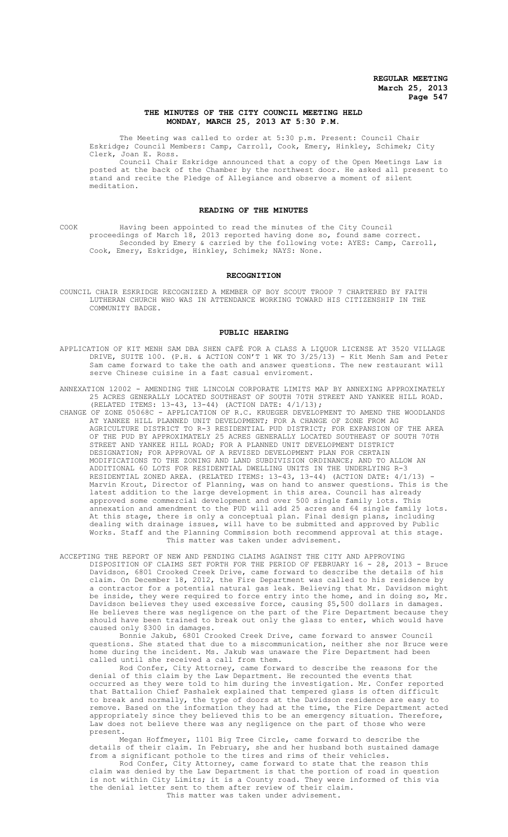# **THE MINUTES OF THE CITY COUNCIL MEETING HELD MONDAY, MARCH 25, 2013 AT 5:30 P.M.**

The Meeting was called to order at 5:30 p.m. Present: Council Chair Eskridge; Council Members: Camp, Carroll, Cook, Emery, Hinkley, Schimek; City Clerk, Joan E. Ross.

Council Chair Eskridge announced that a copy of the Open Meetings Law is posted at the back of the Chamber by the northwest door. He asked all present to stand and recite the Pledge of Allegiance and observe a moment of silent meditation.

### **READING OF THE MINUTES**

COOK Having been appointed to read the minutes of the City Council proceedings of March 18, 2013 reported having done so, found same correct. Seconded by Emery & carried by the following vote: AYES: Camp, Carroll, Cook, Emery, Eskridge, Hinkley, Schimek; NAYS: None.

#### **RECOGNITION**

COUNCIL CHAIR ESKRIDGE RECOGNIZED A MEMBER OF BOY SCOUT TROOP 7 CHARTERED BY FAITH LUTHERAN CHURCH WHO WAS IN ATTENDANCE WORKING TOWARD HIS CITIZENSHIP IN THE COMMUNITY BADGE.

### **PUBLIC HEARING**

- APPLICATION OF KIT MENH SAM DBA SHEN CAFÉ FOR A CLASS A LIQUOR LICENSE AT 3520 VILLAGE DRIVE, SUITE 100. (P.H. & ACTION CON'T 1 WK TO 3/25/13) - Kit Menh Sam and Peter Sam came forward to take the oath and answer questions. The new restaurant will serve Chinese cuisine in a fast casual enviroment.
- ANNEXATION 12002 AMENDING THE LINCOLN CORPORATE LIMITS MAP BY ANNEXING APPROXIMATELY 25 ACRES GENERALLY LOCATED SOUTHEAST OF SOUTH 70TH STREET AND YANKEE HILL ROAD. (RELATED ITEMS: 13-43, 13-44) (ACTION DATE: 4/1/13);
- CHANGE OF ZONE 05068C APPLICATION OF R.C. KRUEGER DEVELOPMENT TO AMEND THE WOODLANDS AT YANKEE HILL PLANNED UNIT DEVELOPMENT; FOR A CHANGE OF ZONE FROM AG AGRICULTURE DISTRICT TO R-3 RESIDENTIAL PUD DISTRICT; FOR EXPANSION OF THE AREA OF THE PUD BY APPROXIMATELY 25 ACRES GENERALLY LOCATED SOUTHEAST OF SOUTH 70TH STREET AND YANKEE HILL ROAD; FOR A PLANNED UNIT DEVELOPMENT DISTRICT DESIGNATION; FOR APPROVAL OF A REVISED DEVELOPMENT PLAN FOR CERTAIN MODIFICATIONS TO THE ZONING AND LAND SUBDIVISION ORDINANCE; AND TO ALLOW AN ADDITIONAL 60 LOTS FOR RESIDENTIAL DWELLING UNITS IN THE UNDERLYING R-3 RESIDENTIAL ZONED AREA. (RELATED ITEMS: 13-43, 13-44) (ACTION DATE: 4/1/13) - Marvin Krout, Director of Planning, was on hand to answer questions. This is the latest addition to the large development in this area. Council has already approved some commercial development and over 500 single family lots. This annexation and amendment to the PUD will add 25 acres and 64 single family lots. At this stage, there is only a conceptual plan. Final design plans, including dealing with drainage issues, will have to be submitted and approved by Public Works. Staff and the Planning Commission both recommend approval at this stage. This matter was taken under advisement.

ACCEPTING THE REPORT OF NEW AND PENDING CLAIMS AGAINST THE CITY AND APPROVING DISPOSITION OF CLAIMS SET FORTH FOR THE PERIOD OF FEBRUARY 16 - 28, 2013 - Bruce Davidson, 6801 Crooked Creek Drive, came forward to describe the details of his claim. On December 18, 2012, the Fire Department was called to his residence by a contractor for a potential natural gas leak. Believing that Mr. Davidson might be inside, they were required to force entry into the home, and in doing so, Mr. Davidson believes they used excessive force, causing \$5,500 dollars in damages. He believes there was negligence on the part of the Fire Department because they should have been trained to break out only the glass to enter, which would have caused only \$300 in damages.

Bonnie Jakub, 6801 Crooked Creek Drive, came forward to answer Council questions. She stated that due to a miscommunication, neither she nor Bruce were home during the incident. Ms. Jakub was unaware the Fire Department had been called until she received a call from them.

Rod Confer, City Attorney, came forward to describe the reasons for the denial of this claim by the Law Department. He recounted the events that occurred as they were told to him during the investigation. Mr. Confer reported that Battalion Chief Pashalek explained that tempered glass is often difficult to break and normally, the type of doors at the Davidson residence are easy to remove. Based on the information they had at the time, the Fire Department acted appropriately since they believed this to be an emergency situation. Therefore, Law does not believe there was any negligence on the part of those who were present.

Megan Hoffmeyer, 1101 Big Tree Circle, came forward to describe the details of their claim. In February, she and her husband both sustained damage from a significant pothole to the tires and rims of their vehicles.

Rod Confer, City Attorney, came forward to state that the reason this claim was denied by the Law Department is that the portion of road in question is not within City Limits; it is a County road. They were informed of this via the denial letter sent to them after review of their claim. This matter was taken under advisement.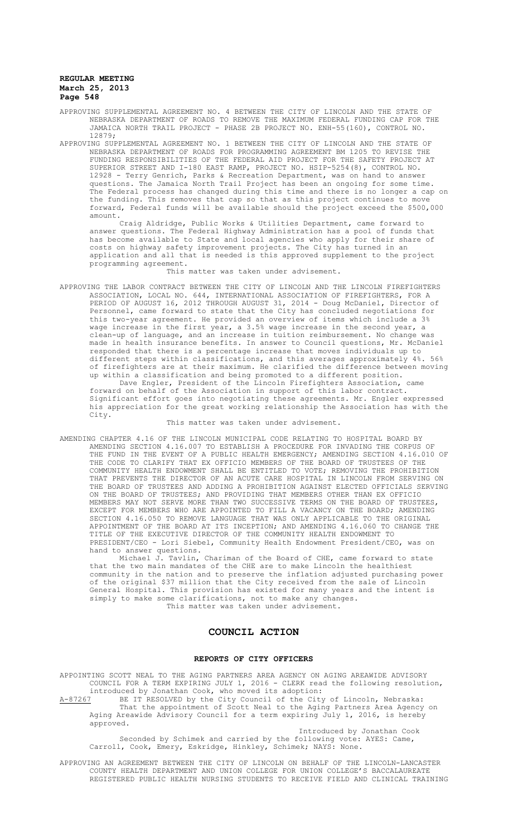- APPROVING SUPPLEMENTAL AGREEMENT NO. 4 BETWEEN THE CITY OF LINCOLN AND THE STATE OF NEBRASKA DEPARTMENT OF ROADS TO REMOVE THE MAXIMUM FEDERAL FUNDING CAP FOR THE JAMAICA NORTH TRAIL PROJECT - PHASE 2B PROJECT NO. ENH-55(160), CONTROL NO. 12879;
- APPROVING SUPPLEMENTAL AGREEMENT NO. 1 BETWEEN THE CITY OF LINCOLN AND THE STATE OF NEBRASKA DEPARTMENT OF ROADS FOR PROGRAMMING AGREEMENT BM 1205 TO REVISE THE FUNDING RESPONSIBILITIES OF THE FEDERAL AID PROJECT FOR THE SAFETY PROJECT AT SUPERIOR STREET AND I-180 EAST RAMP, PROJECT NO. HSIP-5254(8), CONTROL NO. 12928 - Terry Genrich, Parks & Recreation Department, was on hand to answer questions. The Jamaica North Trail Project has been an ongoing for some time. The Federal process has changed during this time and there is no longer a cap on the funding. This removes that cap so that as this project continues to move forward, Federal funds will be available should the project exceed the \$500,000 amount.

Craig Aldridge, Public Works & Utilities Department, came forward to answer questions. The Federal Highway Administration has a pool of funds that has become available to State and local agencies who apply for their share of costs on highway safety improvement projects. The City has turned in an application and all that is needed is this approved supplement to the project programming agreement.

This matter was taken under advisement.

APPROVING THE LABOR CONTRACT BETWEEN THE CITY OF LINCOLN AND THE LINCOLN FIREFIGHTERS ASSOCIATION, LOCAL NO. 644, INTERNATIONAL ASSOCIATION OF FIREFIGHTERS, FOR A PERIOD OF AUGUST 16, 2012 THROUGH AUGUST 31, 2014 - Doug McDaniel, Director of Personnel, came forward to state that the City has concluded negotiations for this two-year agreement. He provided an overview of items which include a 3% wage increase in the first year, a 3.5% wage increase in the second year, a clean-up of language, and an increase in tuition reimbursement. No change was made in health insurance benefits. In answer to Council questions, Mr. McDaniel responded that there is a percentage increase that moves individuals up to different steps within classifications, and this averages approximately 4%. 56% of firefighters are at their maximum. He clarified the difference between moving up within a classification and being promoted to a different position. Dave Engler, President of the Lincoln Firefighters Association, came forward on behalf of the Association in support of this labor contract. Significant effort goes into negotiating these agreements. Mr. Engler expressed his appreciation for the great working relationship the Association has with the City.

This matter was taken under advisement.

AMENDING CHAPTER 4.16 OF THE LINCOLN MUNICIPAL CODE RELATING TO HOSPITAL BOARD BY AMENDING SECTION 4.16.007 TO ESTABLISH A PROCEDURE FOR INVADING THE CORPUS OF THE FUND IN THE EVENT OF A PUBLIC HEALTH EMERGENCY; AMENDING SECTION 4.16.010 OF THE CODE TO CLARIFY THAT EX OFFICIO MEMBERS OF THE BOARD OF TRUSTEES OF THE COMMUNITY HEALTH ENDOWMENT SHALL BE ENTITLED TO VOTE; REMOVING THE PROHIBITION THAT PREVENTS THE DIRECTOR OF AN ACUTE CARE HOSPITAL IN LINCOLN FROM SERVING ON THE BOARD OF TRUSTEES AND ADDING A PROHIBITION AGAINST ELECTED OFFICIALS SERVING ON THE BOARD OF TRUSTEES; AND PROVIDING THAT MEMBERS OTHER THAN EX OFFICIO MEMBERS MAY NOT SERVE MORE THAN TWO SUCCESSIVE TERMS ON THE BOARD OF TRUSTEES, EXCEPT FOR MEMBERS WHO ARE APPOINTED TO FILL A VACANCY ON THE BOARD; AMENDING SECTION 4.16.050 TO REMOVE LANGUAGE THAT WAS ONLY APPLICABLE TO THE ORIGINAL APPOINTMENT OF THE BOARD AT ITS INCEPTION; AND AMENDING 4.16.060 TO CHANGE THE TITLE OF THE EXECUTIVE DIRECTOR OF THE COMMUNITY HEALTH ENDOWMENT TO PRESIDENT/CEO - Lori Siebel, Community Health Endowment President/CEO, was on hand to answer questions.

Michael J. Tavlin, Chariman of the Board of CHE, came forward to state that the two main mandates of the CHE are to make Lincoln the healthiest community in the nation and to preserve the inflation adjusted purchasing power of the original \$37 million that the City received from the sale of Lincoln General Hospital. This provision has existed for many years and the intent is simply to make some clarifications, not to make any changes. This matter was taken under advisement.

# **COUNCIL ACTION**

#### **REPORTS OF CITY OFFICERS**

APPOINTING SCOTT NEAL TO THE AGING PARTNERS AREA AGENCY ON AGING AREAWIDE ADVISORY COUNCIL FOR A TERM EXPIRING JULY 1, 2016 - CLERK read the following resolution, introduced by Jonathan Cook, who moved its adoption:

A-87267 BE IT RESOLVED by the City Council of the City of Lincoln, Nebraska: That the appointment of Scott Neal to the Aging Partners Area Agency on Aging Areawide Advisory Council for a term expiring July 1, 2016, is hereby approved.

Introduced by Jonathan Cook Seconded by Schimek and carried by the following vote: AYES: Came, Carroll, Cook, Emery, Eskridge, Hinkley, Schimek; NAYS: None.

APPROVING AN AGREEMENT BETWEEN THE CITY OF LINCOLN ON BEHALF OF THE LINCOLN-LANCASTER COUNTY HEALTH DEPARTMENT AND UNION COLLEGE FOR UNION COLLEGE'S BACCALAUREATE REGISTERED PUBLIC HEALTH NURSING STUDENTS TO RECEIVE FIELD AND CLINICAL TRAINING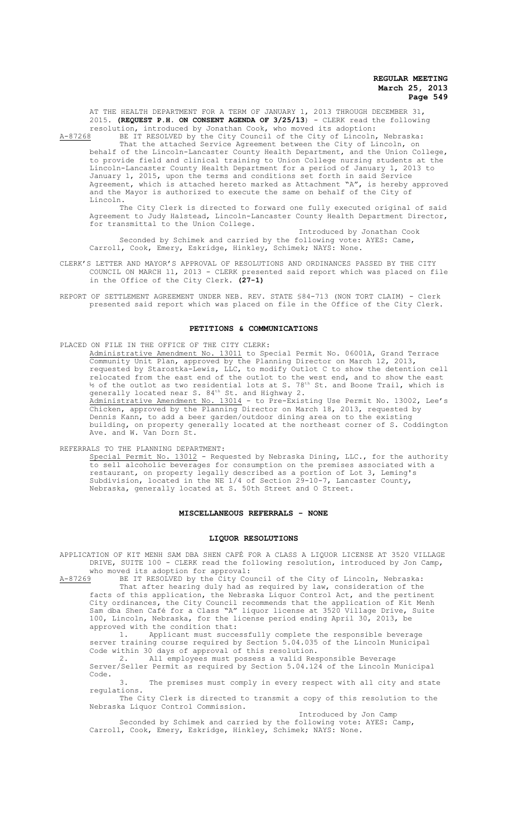AT THE HEALTH DEPARTMENT FOR A TERM OF JANUARY 1, 2013 THROUGH DECEMBER 31, 2015. **(REQUEST P.H. ON CONSENT AGENDA OF 3/25/13**) - CLERK read the following resolution, introduced by Jonathan Cook, who moved its adoption:

A-87268 BE IT RESOLVED by the City Council of the City of Lincoln, Nebraska: That the attached Service Agreement between the City of Lincoln, on behalf of the Lincoln-Lancaster County Health Department, and the Union College, to provide field and clinical training to Union College nursing students at the Lincoln-Lancaster County Health Department for a period of January 1, 2013 to January 1, 2015, upon the terms and conditions set forth in said Service Agreement, which is attached hereto marked as Attachment "A", is hereby approved and the Mayor is authorized to execute the same on behalf of the City of Lincoln.

The City Clerk is directed to forward one fully executed original of said Agreement to Judy Halstead, Lincoln-Lancaster County Health Department Director, for transmittal to the Union College.

Introduced by Jonathan Cook Seconded by Schimek and carried by the following vote: AYES: Came, Carroll, Cook, Emery, Eskridge, Hinkley, Schimek; NAYS: None.

CLERK'S LETTER AND MAYOR'S APPROVAL OF RESOLUTIONS AND ORDINANCES PASSED BY THE CITY COUNCIL ON MARCH 11, 2013 - CLERK presented said report which was placed on file in the Office of the City Clerk. **(27-1)**

REPORT OF SETTLEMENT AGREEMENT UNDER NEB. REV. STATE §84-713 (NON TORT CLAIM) - Clerk presented said report which was placed on file in the Office of the City Clerk.

### **PETITIONS & COMMUNICATIONS**

PLACED ON FILE IN THE OFFICE OF THE CITY CLERK:

Administrative Amendment No. 13011 to Special Permit No. 06001A, Grand Terrace Community Unit Plan, approved by the Planning Director on March 12, 2013, requested by Starostka-Lewis, LLC, to modify Outlot C to show the detention cell relocated from the east end of the outlot to the west end, and to show the east  $\frac{1}{2}$  of the outlot as two residential lots at S.  $78^\text{th}$  St. and Boone Trail, which is generally located near S.  $84<sup>th</sup>$  St. and Highway 2. Administrative Amendment No. 13014 - to Pre-Existing Use Permit No. 13002, Lee's Chicken, approved by the Planning Director on March 18, 2013, requested by Dennis Kann, to add a beer garden/outdoor dining area on to the existing building, on property generally located at the northeast corner of S. Coddington Ave. and W. Van Dorn St.

REFERRALS TO THE PLANNING DEPARTMENT:

Special Permit No. 13012 - Requested by Nebraska Dining, LLC., for the authority to sell alcoholic beverages for consumption on the premises associated with a restaurant, on property legally described as a portion of Lot 3, Leming's Subdivision, located in the NE 1/4 of Section 29-10-7, Lancaster County, Nebraska, generally located at S. 50th Street and O Street.

### **MISCELLANEOUS REFERRALS - NONE**

#### **LIQUOR RESOLUTIONS**

APPLICATION OF KIT MENH SAM DBA SHEN CAFÉ FOR A CLASS A LIQUOR LICENSE AT 3520 VILLAGE DRIVE, SUITE 100 - CLERK read the following resolution, introduced by Jon Camp, who moved its adoption for approval:<br>A-87269 BE IT RESOLVED by the City Cou

BE IT RESOLVED by the City Council of the City of Lincoln, Nebraska: That after hearing duly had as required by law, consideration of the facts of this application, the Nebraska Liquor Control Act, and the pertinent City ordinances, the City Council recommends that the application of Kit Menh Sam dba Shen Café for a Class "A" liquor license at 3520 Village Drive, Suite 100, Lincoln, Nebraska, for the license period ending April 30, 2013, be approved with the condition that:

1. Applicant must successfully complete the responsible beverage server training course required by Section 5.04.035 of the Lincoln Municipal Code within 30 days of approval of this resolution.

2. All employees must possess a valid Responsible Beverage Server/Seller Permit as required by Section 5.04.124 of the Lincoln Municipal Code.

3. The premises must comply in every respect with all city and state regulations.

The City Clerk is directed to transmit a copy of this resolution to the Nebraska Liquor Control Commission.

Introduced by Jon Camp

Seconded by Schimek and carried by the following vote: AYES: Camp, Carroll, Cook, Emery, Eskridge, Hinkley, Schimek; NAYS: None.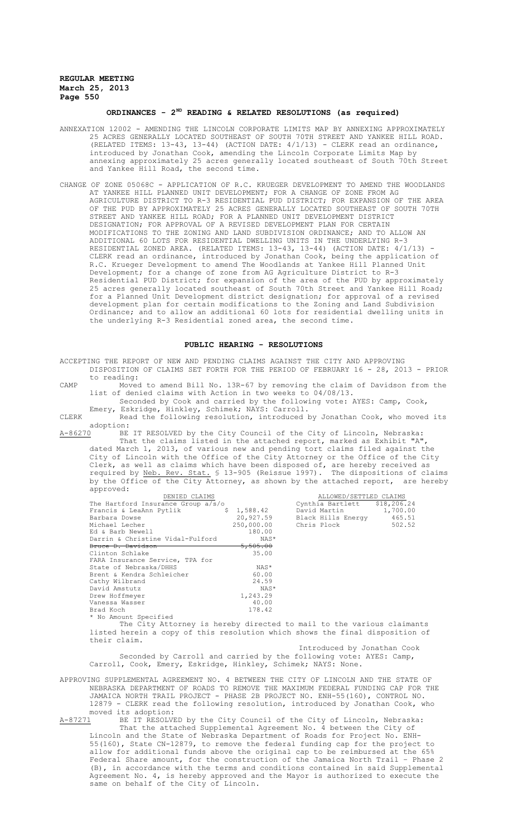# **ORDINANCES - 2ND READING & RELATED RESOLUTIONS (as required)**

- ANNEXATION 12002 AMENDING THE LINCOLN CORPORATE LIMITS MAP BY ANNEXING APPROXIMATELY 25 ACRES GENERALLY LOCATED SOUTHEAST OF SOUTH 70TH STREET AND YANKEE HILL ROAD. (RELATED ITEMS: 13-43, 13-44) (ACTION DATE: 4/1/13) - CLERK read an ordinance, introduced by Jonathan Cook, amending the Lincoln Corporate Limits Map by annexing approximately 25 acres generally located southeast of South 70th Street and Yankee Hill Road, the second time.
- CHANGE OF ZONE 05068C APPLICATION OF R.C. KRUEGER DEVELOPMENT TO AMEND THE WOODLANDS AT YANKEE HILL PLANNED UNIT DEVELOPMENT; FOR A CHANGE OF ZONE FROM AG AGRICULTURE DISTRICT TO R-3 RESIDENTIAL PUD DISTRICT; FOR EXPANSION OF THE AREA OF THE PUD BY APPROXIMATELY 25 ACRES GENERALLY LOCATED SOUTHEAST OF SOUTH 70TH STREET AND YANKEE HILL ROAD; FOR A PLANNED UNIT DEVELOPMENT DISTRICT DESIGNATION; FOR APPROVAL OF A REVISED DEVELOPMENT PLAN FOR CERTAIN MODIFICATIONS TO THE ZONING AND LAND SUBDIVISION ORDINANCE; AND TO ALLOW AN ADDITIONAL 60 LOTS FOR RESIDENTIAL DWELLING UNITS IN THE UNDERLYING R-3 RESIDENTIAL ZONED AREA. (RELATED ITEMS: 13-43, 13-44) (ACTION DATE: 4/1/13) -CLERK read an ordinance, introduced by Jonathan Cook, being the application of R.C. Krueger Development to amend The Woodlands at Yankee Hill Planned Unit Development; for a change of zone from AG Agriculture District to R-3 Residential PUD District; for expansion of the area of the PUD by approximately 25 acres generally located southeast of South 70th Street and Yankee Hill Road; for a Planned Unit Development district designation; for approval of a revised development plan for certain modifications to the Zoning and Land Subdivision Ordinance; and to allow an additional 60 lots for residential dwelling units in the underlying R-3 Residential zoned area, the second time.

# **PUBLIC HEARING - RESOLUTIONS**

- ACCEPTING THE REPORT OF NEW AND PENDING CLAIMS AGAINST THE CITY AND APPROVING DISPOSITION OF CLAIMS SET FORTH FOR THE PERIOD OF FEBRUARY 16 - 28, 2013 - PRIOR to reading: CAMP Moved to amend Bill No. 13R-67 by removing the claim of Davidson from the list of denied claims with Action in two weeks to 04/08/13. Seconded by Cook and carried by the following vote: AYES: Camp, Cook, Emery, Eskridge, Hinkley, Schimek; NAYS: Carroll. CLERK Read the following resolution, introduced by Jonathan Cook, who moved its
- $\frac{\text{adoption:}}{\text{A}-86270}$ BE A-86270 BE IT RESOLVED by the City Council of the City of Lincoln, Nebraska:

That the claims listed in the attached report, marked as Exhibit "A", dated March 1, 2013, of various new and pending tort claims filed against the City of Lincoln with the Office of the City Attorney or the Office of the City Clerk, as well as claims which have been disposed of, are hereby received as required by <u>Neb. Rev. Stat.</u> § 13-905 (Reissue 1997). The dispositions of claims by the Office of the City Attorney, as shown by the attached report, are hereby approved:

| DENIED CLAIMS                      |                     | ALLOWED/SETTLED CLAIMS       |          |
|------------------------------------|---------------------|------------------------------|----------|
| The Hartford Insurance Group a/s/o |                     | Cynthia Bartlett \$18,206.24 |          |
| Francis & LeaAnn Pytlik            | \$1.588.42          | David Martin                 | 1,700.00 |
| Barbara Dowse                      | 20,927.59           | Black Hills Energy           | 465.51   |
| Michael Lecher                     | 250,000.00          | Chris Plock                  | 502.52   |
| Ed & Barb Newell                   | 180.00              |                              |          |
| Darrin & Christine Vidal-Fulford   | NAS*                |                              |          |
| Bruce D. Davidson                  | <del>5,505.00</del> |                              |          |
| Clinton Schlake                    | 35.00               |                              |          |
| FARA Insurance Service, TPA for    |                     |                              |          |
| State of Nebraska/DHHS             | NAS*                |                              |          |
| Brent & Kendra Schleicher          | 60.00               |                              |          |
| Cathy Wilbrand                     | 24.59               |                              |          |
| David Amstutz                      | NAS*                |                              |          |
| Drew Hoffmeyer                     | 1,243.29            |                              |          |
| Vanessa Wasser                     | 40.00               |                              |          |
| Brad Koch                          | 178.42              |                              |          |
| * No Amount Specified              |                     |                              |          |

The City Attorney is hereby directed to mail to the various claimants listed herein a copy of this resolution which shows the final disposition of their claim.

Introduced by Jonathan Cook Seconded by Carroll and carried by the following vote: AYES: Camp, Carroll, Cook, Emery, Eskridge, Hinkley, Schimek; NAYS: None.

APPROVING SUPPLEMENTAL AGREEMENT NO. 4 BETWEEN THE CITY OF LINCOLN AND THE STATE OF NEBRASKA DEPARTMENT OF ROADS TO REMOVE THE MAXIMUM FEDERAL FUNDING CAP FOR THE JAMAICA NORTH TRAIL PROJECT - PHASE 2B PROJECT NO. ENH-55(160), CONTROL NO. 12879 - CLERK read the following resolution, introduced by Jonathan Cook, who moved its adoption:<br>A-87271 BE IT RESOLVE

A-87271 BE IT RESOLVED by the City Council of the City of Lincoln, Nebraska: That the attached Supplemental Agreement No. 4 between the City of Lincoln and the State of Nebraska Department of Roads for Project No. ENH-55(160), State CN-12879, to remove the federal funding cap for the project to allow for additional funds above the original cap to be reimbursed at the 65% Federal Share amount, for the construction of the Jamaica North Trail – Phase 2 (B), in accordance with the terms and conditions contained in said Supplemental Agreement No. 4, is hereby approved and the Mayor is authorized to execute the same on behalf of the City of Lincoln.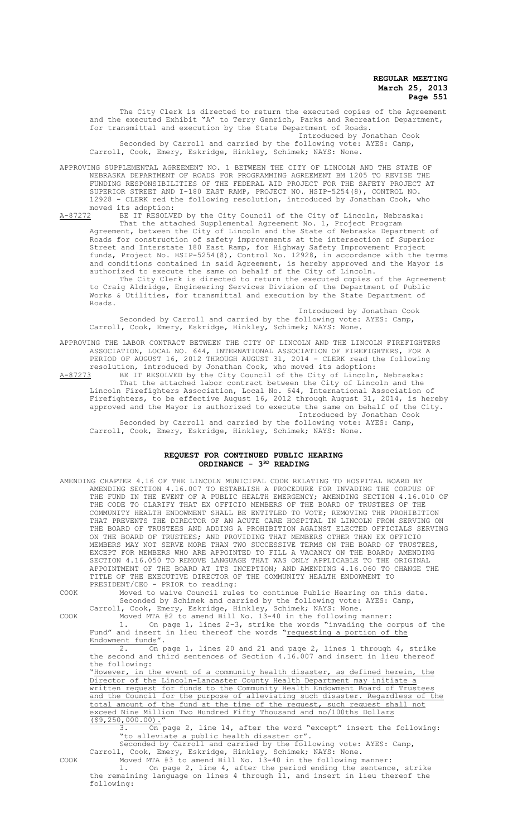The City Clerk is directed to return the executed copies of the Agreement and the executed Exhibit "A" to Terry Genrich, Parks and Recreation Department, for transmittal and execution by the State Department of Roads. Introduced by Jonathan Cook

Seconded by Carroll and carried by the following vote: AYES: Camp, Carroll, Cook, Emery, Eskridge, Hinkley, Schimek; NAYS: None.

APPROVING SUPPLEMENTAL AGREEMENT NO. 1 BETWEEN THE CITY OF LINCOLN AND THE STATE OF NEBRASKA DEPARTMENT OF ROADS FOR PROGRAMMING AGREEMENT BM 1205 TO REVISE THE FUNDING RESPONSIBILITIES OF THE FEDERAL AID PROJECT FOR THE SAFETY PROJECT AT SUPERIOR STREET AND I-180 EAST RAMP, PROJECT NO. HSIP-5254(8), CONTROL NO. 12928 - CLERK red the following resolution, introduced by Jonathan Cook, who moved its adoption:<br>A-87272 BE IT RESOLVI

BE IT RESOLVED by the City Council of the City of Lincoln, Nebraska: That the attached Supplemental Agreement No. 1, Project Program Agreement, between the City of Lincoln and the State of Nebraska Department of Roads for construction of safety improvements at the intersection of Superior construction of safety improvements at the intersection of Superior Street and Interstate 180 East Ramp, for Highway Safety Improvement Project funds, Project No. HSIP-5254(8), Control No. 12928, in accordance with the terms and conditions contained in said Agreement, is hereby approved and the Mayor is authorized to execute the same on behalf of the City of Lincoln. The City Clerk is directed to return the executed copies of the Agreement

to Craig Aldridge, Engineering Services Division of the Department of Public Works & Utilities, for transmittal and execution by the State Department of Roads.

Introduced by Jonathan Cook Seconded by Carroll and carried by the following vote: AYES: Camp, Carroll, Cook, Emery, Eskridge, Hinkley, Schimek; NAYS: None.

APPROVING THE LABOR CONTRACT BETWEEN THE CITY OF LINCOLN AND THE LINCOLN FIREFIGHTERS ASSOCIATION, LOCAL NO. 644, INTERNATIONAL ASSOCIATION OF FIREFIGHTERS, FOR A PERIOD OF AUGUST 16, 2012 THROUGH AUGUST 31, 2014 - CLERK read the following resolution, introduced by Jonathan Cook, who moved its adoption:

A-87273 BE IT RESOLVED by the City Council of the City of Lincoln, Nebraska: That the attached labor contract between the City of Lincoln and the Lincoln Firefighters Association, Local No. 644, International Association of Firefighters, to be effective August 16, 2012 through August 31, 2014, is hereby approved and the Mayor is authorized to execute the same on behalf of the City. Introduced by Jonathan Cook

Seconded by Carroll and carried by the following vote: AYES: Camp, Carroll, Cook, Emery, Eskridge, Hinkley, Schimek; NAYS: None.

# **REQUEST FOR CONTINUED PUBLIC HEARING ORDINANCE - 3RD READING**

|      | AMENDING CHAPTER 4.16 OF THE LINCOLN MUNICIPAL CODE RELATING TO HOSPITAL BOARD BY<br>AMENDING SECTION 4.16.007 TO ESTABLISH A PROCEDURE FOR INVADING THE CORPUS OF<br>THE FUND IN THE EVENT OF A PUBLIC HEALTH EMERGENCY: AMENDING SECTION 4.16.010 OF<br>THE CODE TO CLARIFY THAT EX OFFICIO MEMBERS OF THE BOARD OF TRUSTEES OF THE<br>COMMUNITY HEALTH ENDOWMENT SHALL BE ENTITLED TO VOTE; REMOVING THE PROHIBITION<br>THAT PREVENTS THE DIRECTOR OF AN ACUTE CARE HOSPITAL IN LINCOLN FROM SERVING ON<br>THE BOARD OF TRUSTEES AND ADDING A PROHIBITION AGAINST ELECTED OFFICIALS SERVING<br>ON THE BOARD OF TRUSTEES; AND PROVIDING THAT MEMBERS OTHER THAN EX OFFICIO |
|------|------------------------------------------------------------------------------------------------------------------------------------------------------------------------------------------------------------------------------------------------------------------------------------------------------------------------------------------------------------------------------------------------------------------------------------------------------------------------------------------------------------------------------------------------------------------------------------------------------------------------------------------------------------------------------|
|      | MEMBERS MAY NOT SERVE MORE THAN TWO SUCCESSIVE TERMS ON THE BOARD OF TRUSTEES,                                                                                                                                                                                                                                                                                                                                                                                                                                                                                                                                                                                               |
|      | EXCEPT FOR MEMBERS WHO ARE APPOINTED TO FILL A VACANCY ON THE BOARD; AMENDING                                                                                                                                                                                                                                                                                                                                                                                                                                                                                                                                                                                                |
|      | SECTION 4.16.050 TO REMOVE LANGUAGE THAT WAS ONLY APPLICABLE TO THE ORIGINAL                                                                                                                                                                                                                                                                                                                                                                                                                                                                                                                                                                                                 |
|      | APPOINTMENT OF THE BOARD AT ITS INCEPTION; AND AMENDING 4.16.060 TO CHANGE THE                                                                                                                                                                                                                                                                                                                                                                                                                                                                                                                                                                                               |
|      | TITLE OF THE EXECUTIVE DIRECTOR OF THE COMMUNITY HEALTH ENDOWMENT TO                                                                                                                                                                                                                                                                                                                                                                                                                                                                                                                                                                                                         |
|      | PRESIDENT/CEO - PRIOR to reading:                                                                                                                                                                                                                                                                                                                                                                                                                                                                                                                                                                                                                                            |
| COOK | Moved to waive Council rules to continue Public Hearing on this date.                                                                                                                                                                                                                                                                                                                                                                                                                                                                                                                                                                                                        |
|      | Seconded by Schimek and carried by the following vote: AYES: Camp,                                                                                                                                                                                                                                                                                                                                                                                                                                                                                                                                                                                                           |
|      | Carroll, Cook, Emery, Eskridge, Hinkley, Schimek; NAYS: None.                                                                                                                                                                                                                                                                                                                                                                                                                                                                                                                                                                                                                |
|      |                                                                                                                                                                                                                                                                                                                                                                                                                                                                                                                                                                                                                                                                              |

COOK Moved MTA #2 to amend Bill No. 13-40 in the following manner: On page 1, lines 2-3, strike the words "invading the corpus of the Fund" and insert in lieu thereof the words "requesting a portion of the Endowment funds".

2. On page 1, lines 20 and 21 and page 2, lines 1 through 4, strike the second and third sentences of Section 4.16.007 and insert in lieu thereof the following:

"However, in the event of a community health disaster, as defined herein, the Director of the Lincoln-Lancaster County Health Department may initiate a written request for funds to the Community Health Endowment Board of Trustees and the Council for the purpose of alleviating such disaster. Regardless of the total amount of the fund at the time of the request, such request shall not exceed Nine Million Two Hundred Fifty Thousand and no/100ths Dollars  $($ \$9,250,000.00).

3. On page 2, line 14, after the word "except" insert the following: "to alleviate a public health disaster or".

Seconded by Carroll and carried by the following vote: AYES: Camp, Carroll, Cook, Emery, Eskridge, Hinkley, Schimek; NAYS: None.

COOK Moved MTA #3 to amend Bill No. 13-40 in the following manner: 1. On page 2, line 4, after the period ending the sentence, strike the remaining language on lines 4 through 11, and insert in lieu thereof the following: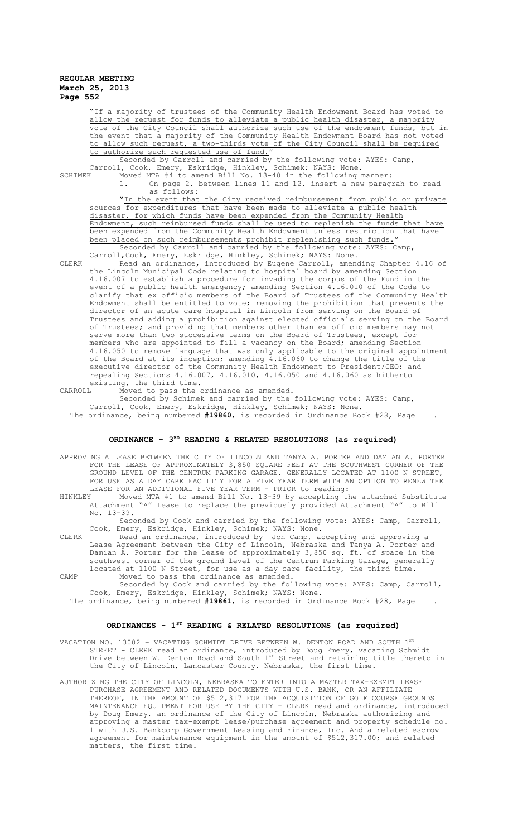a majority of trustees of the Community Health Endowment Board has voted to allow the request for funds to alleviate a public health disaster, a majority vote of the City Council shall authorize such use of the endowment funds, but in the event that a majority of the Community Health Endowment Board has not voted to allow such request, a two-thirds vote of the City Council shall be required to authorize such requested use of fund."

Seconded by Carroll and carried by the following vote: AYES: Camp, Carroll, Cook, Emery, Eskridge, Hinkley, Schimek; NAYS: None. SCHIMEK Moved MTA #4 to amend Bill No. 13-40 in the following manner:

1. On page 2, between lines 11 and 12, insert a new paragrah to read as follows: "In the event that the City received reimbursement from public or private

sources for expenditures that have been made to alleviate a public health disaster, for which funds have been expended from the Community Health Endowment, such reimbursed funds shall be used to replenish the funds that have been expended from the Community Health Endowment unless restriction that have been placed on such reimbursements prohibit replenishing such funds. Seconded by Carroll and carried by the following vote: AYES: Camp,

Carroll, Cook, Emery, Eskridge, Hinkley, Schimek; NAYS: None.

CLERK Read an ordinance, introduced by Eugene Carroll, amending Chapter 4.16 of the Lincoln Municipal Code relating to hospital board by amending Section 4.16.007 to establish a procedure for invading the corpus of the Fund in the event of a public health emergency; amending Section 4.16.010 of the Code to clarify that ex officio members of the Board of Trustees of the Community Health Endowment shall be entitled to vote; removing the prohibition that prevents the director of an acute care hospital in Lincoln from serving on the Board of Trustees and adding a prohibition against elected officials serving on the Board of Trustees; and providing that members other than ex officio members may not serve more than two successive terms on the Board of Trustees, except for members who are appointed to fill a vacancy on the Board; amending Section 4.16.050 to remove language that was only applicable to the original appointment of the Board at its inception; amending 4.16.060 to change the title of the executive director of the Community Health Endowment to President/CEO; and repealing Sections 4.16.007, 4.16.010, 4.16.050 and 4.16.060 as hitherto existing, the third time.

CARROLL Moved to pass the ordinance as amended.

Seconded by Schimek and carried by the following vote: AYES: Camp, Carroll, Cook, Emery, Eskridge, Hinkley, Schimek; NAYS: None. The ordinance, being numbered **#19860**, is recorded in Ordinance Book #28, Page .

# **ORDINANCE - 3RD READING & RELATED RESOLUTIONS (as required)**

APPROVING A LEASE BETWEEN THE CITY OF LINCOLN AND TANYA A. PORTER AND DAMIAN A. PORTER FOR THE LEASE OF APPROXIMATELY 3,850 SQUARE FEET AT THE SOUTHWEST CORNER OF THE GROUND LEVEL OF THE CENTRUM PARKING GARAGE, GENERALLY LOCATED AT 1100 N STREET, FOR USE AS A DAY CARE FACILITY FOR A FIVE YEAR TERM WITH AN OPTION TO RENEW THE LEASE FOR AN ADDITIONAL FIVE YEAR TERM - PRIOR to reading:<br>HINKLEY Moved MTA #1 to amend Bill No. 13-39 by accepting th

HINKLEY Moved MTA #1 to amend Bill No. 13-39 by accepting the attached Substitute Attachment "A" Lease to replace the previously provided Attachment "A" to Bill No. 13-39.

Seconded by Cook and carried by the following vote: AYES: Camp, Carroll, Cook, Emery, Eskridge, Hinkley, Schimek; NAYS: None.

CLERK Read an ordinance, introduced by Jon Camp, accepting and approving a Lease Agreement between the City of Lincoln, Nebraska and Tanya A. Porter and Damian A. Porter for the lease of approximately 3,850 sq. ft. of space in the southwest corner of the ground level of the Centrum Parking Garage, generally located at 1100 N Street, for use as a day care facility, the third time. CAMP Moved to pass the ordinance as amended.

Seconded by Cook and carried by the following vote: AYES: Camp, Carroll, Cook, Emery, Eskridge, Hinkley, Schimek; NAYS: None.

The ordinance, being numbered **#19861**, is recorded in Ordinance Book #28, Page .

# **ORDINANCES - 1ST READING & RELATED RESOLUTIONS (as required)**

VACATION NO. 13002 - VACATING SCHMIDT DRIVE BETWEEN W. DENTON ROAD AND SOUTH 1ST STREET - CLERK read an ordinance, introduced by Doug Emery, vacating Schmidt Drive between W. Denton Road and South 1st Street and retaining title thereto in the City of Lincoln, Lancaster County, Nebraska, the first time.

AUTHORIZING THE CITY OF LINCOLN, NEBRASKA TO ENTER INTO A MASTER TAX-EXEMPT LEASE PURCHASE AGREEMENT AND RELATED DOCUMENTS WITH U.S. BANK, OR AN AFFILIATE THEREOF, IN THE AMOUNT OF \$512,317 FOR THE ACQUISITION OF GOLF COURSE GROUNDS MAINTENANCE EQUIPMENT FOR USE BY THE CITY - CLERK read and ordinance, introduced by Doug Emery, an ordinance of the City of Lincoln, Nebraska authorizing and approving a master tax-exempt lease/purchase agreement and property schedule no. 1 with U.S. Bankcorp Government Leasing and Finance, Inc. And a related escrow agreement for maintenance equipment in the amount of \$512,317.00; and related matters, the first time.